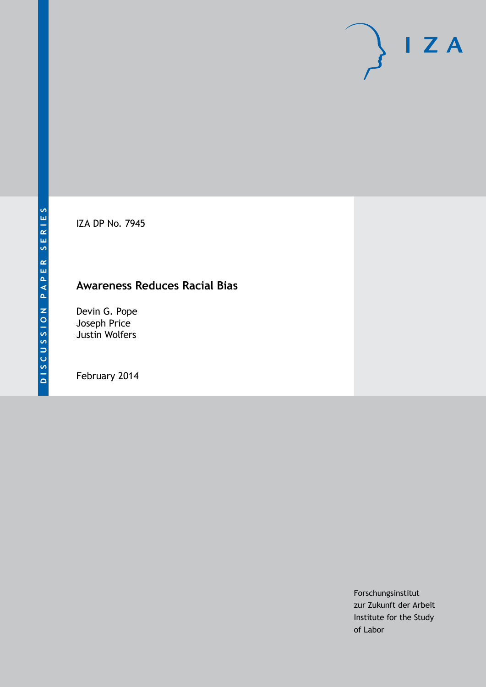IZA DP No. 7945

# **Awareness Reduces Racial Bias**

Devin G. Pope Joseph Price Justin Wolfers

February 2014

Forschungsinstitut zur Zukunft der Arbeit Institute for the Study of Labor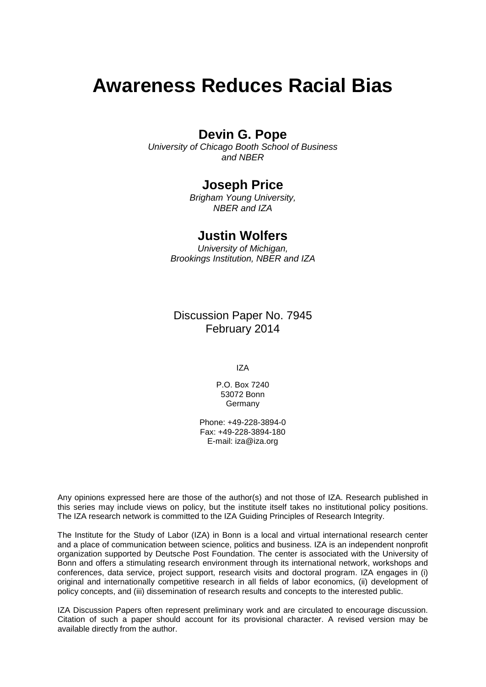# **Awareness Reduces Racial Bias**

### **Devin G. Pope**

*University of Chicago Booth School of Business and NBER*

### **Joseph Price**

*Brigham Young University, NBER and IZA*

### **Justin Wolfers**

*University of Michigan, Brookings Institution, NBER and IZA*

Discussion Paper No. 7945 February 2014

IZA

P.O. Box 7240 53072 Bonn Germany

Phone: +49-228-3894-0 Fax: +49-228-3894-180 E-mail: [iza@iza.org](mailto:iza@iza.org)

Any opinions expressed here are those of the author(s) and not those of IZA. Research published in this series may include views on policy, but the institute itself takes no institutional policy positions. The IZA research network is committed to the IZA Guiding Principles of Research Integrity.

The Institute for the Study of Labor (IZA) in Bonn is a local and virtual international research center and a place of communication between science, politics and business. IZA is an independent nonprofit organization supported by Deutsche Post Foundation. The center is associated with the University of Bonn and offers a stimulating research environment through its international network, workshops and conferences, data service, project support, research visits and doctoral program. IZA engages in (i) original and internationally competitive research in all fields of labor economics, (ii) development of policy concepts, and (iii) dissemination of research results and concepts to the interested public.

IZA Discussion Papers often represent preliminary work and are circulated to encourage discussion. Citation of such a paper should account for its provisional character. A revised version may be available directly from the author.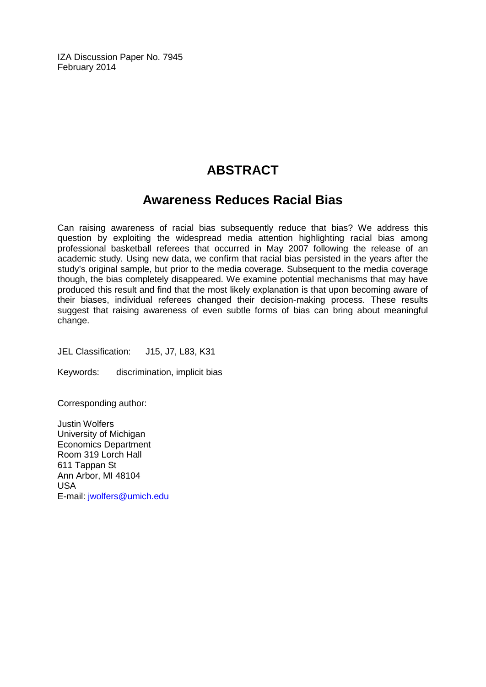IZA Discussion Paper No. 7945 February 2014

# **ABSTRACT**

## **Awareness Reduces Racial Bias**

Can raising awareness of racial bias subsequently reduce that bias? We address this question by exploiting the widespread media attention highlighting racial bias among professional basketball referees that occurred in May 2007 following the release of an academic study. Using new data, we confirm that racial bias persisted in the years after the study's original sample, but prior to the media coverage. Subsequent to the media coverage though, the bias completely disappeared. We examine potential mechanisms that may have produced this result and find that the most likely explanation is that upon becoming aware of their biases, individual referees changed their decision-making process. These results suggest that raising awareness of even subtle forms of bias can bring about meaningful change.

JEL Classification: J15, J7, L83, K31

Keywords: discrimination, implicit bias

Corresponding author:

Justin Wolfers University of Michigan Economics Department Room 319 Lorch Hall 611 Tappan St Ann Arbor, MI 48104 USA E-mail: [jwolfers@umich.edu](mailto:jwolfers@umich.edu)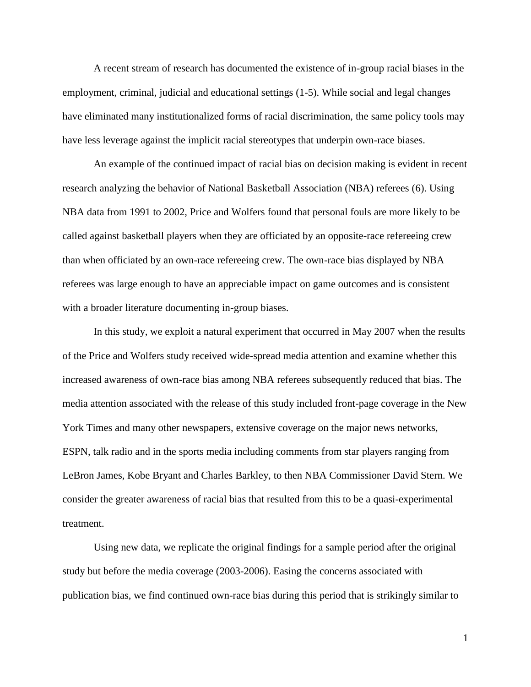A recent stream of research has documented the existence of in-group racial biases in the employment, criminal, judicial and educational settings (1-5). While social and legal changes have eliminated many institutionalized forms of racial discrimination, the same policy tools may have less leverage against the implicit racial stereotypes that underpin own-race biases.

An example of the continued impact of racial bias on decision making is evident in recent research analyzing the behavior of National Basketball Association (NBA) referees (6). Using NBA data from 1991 to 2002, Price and Wolfers found that personal fouls are more likely to be called against basketball players when they are officiated by an opposite-race refereeing crew than when officiated by an own-race refereeing crew. The own-race bias displayed by NBA referees was large enough to have an appreciable impact on game outcomes and is consistent with a broader literature documenting in-group biases.

In this study, we exploit a natural experiment that occurred in May 2007 when the results of the Price and Wolfers study received wide-spread media attention and examine whether this increased awareness of own-race bias among NBA referees subsequently reduced that bias. The media attention associated with the release of this study included front-page coverage in the New York Times and many other newspapers, extensive coverage on the major news networks, ESPN, talk radio and in the sports media including comments from star players ranging from LeBron James, Kobe Bryant and Charles Barkley, to then NBA Commissioner David Stern. We consider the greater awareness of racial bias that resulted from this to be a quasi-experimental treatment.

Using new data, we replicate the original findings for a sample period after the original study but before the media coverage (2003-2006). Easing the concerns associated with publication bias, we find continued own-race bias during this period that is strikingly similar to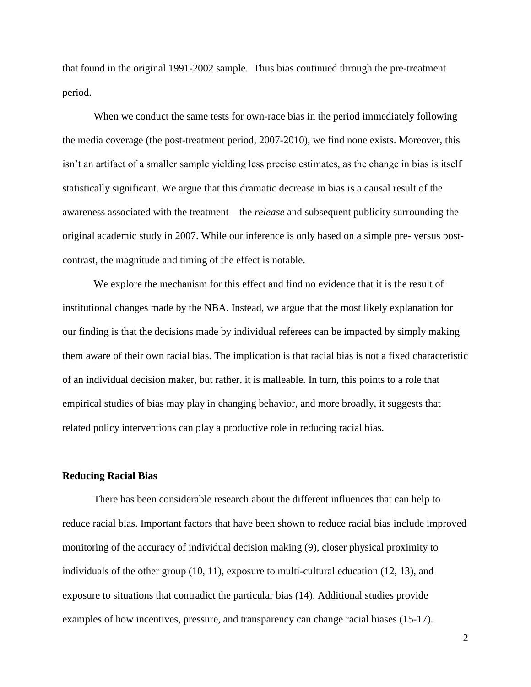that found in the original 1991-2002 sample. Thus bias continued through the pre-treatment period.

When we conduct the same tests for own-race bias in the period immediately following the media coverage (the post-treatment period, 2007-2010), we find none exists. Moreover, this isn't an artifact of a smaller sample yielding less precise estimates, as the change in bias is itself statistically significant. We argue that this dramatic decrease in bias is a causal result of the awareness associated with the treatment—the *release* and subsequent publicity surrounding the original academic study in 2007. While our inference is only based on a simple pre- versus postcontrast, the magnitude and timing of the effect is notable.

We explore the mechanism for this effect and find no evidence that it is the result of institutional changes made by the NBA. Instead, we argue that the most likely explanation for our finding is that the decisions made by individual referees can be impacted by simply making them aware of their own racial bias. The implication is that racial bias is not a fixed characteristic of an individual decision maker, but rather, it is malleable. In turn, this points to a role that empirical studies of bias may play in changing behavior, and more broadly, it suggests that related policy interventions can play a productive role in reducing racial bias.

#### **Reducing Racial Bias**

There has been considerable research about the different influences that can help to reduce racial bias. Important factors that have been shown to reduce racial bias include improved monitoring of the accuracy of individual decision making (9), closer physical proximity to individuals of the other group (10, 11), exposure to multi-cultural education (12, 13), and exposure to situations that contradict the particular bias (14). Additional studies provide examples of how incentives, pressure, and transparency can change racial biases (15-17).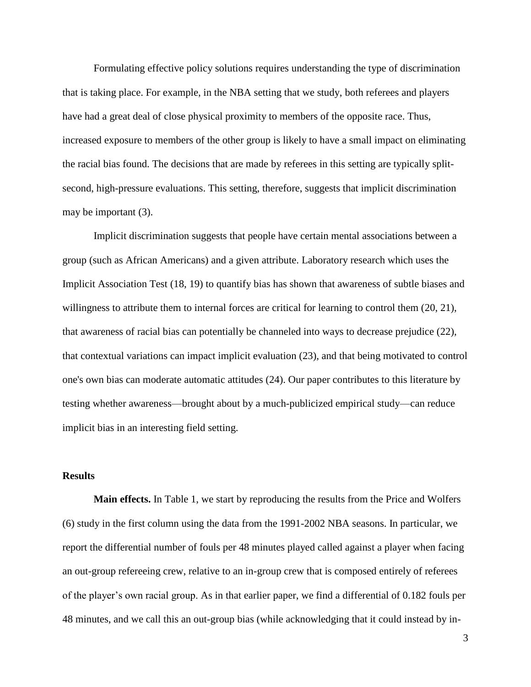Formulating effective policy solutions requires understanding the type of discrimination that is taking place. For example, in the NBA setting that we study, both referees and players have had a great deal of close physical proximity to members of the opposite race. Thus, increased exposure to members of the other group is likely to have a small impact on eliminating the racial bias found. The decisions that are made by referees in this setting are typically splitsecond, high-pressure evaluations. This setting, therefore, suggests that implicit discrimination may be important (3).

Implicit discrimination suggests that people have certain mental associations between a group (such as African Americans) and a given attribute. Laboratory research which uses the Implicit Association Test (18, 19) to quantify bias has shown that awareness of subtle biases and willingness to attribute them to internal forces are critical for learning to control them  $(20, 21)$ , that awareness of racial bias can potentially be channeled into ways to decrease prejudice (22), that contextual variations can impact implicit evaluation (23), and that being motivated to control one's own bias can moderate automatic attitudes (24). Our paper contributes to this literature by testing whether awareness—brought about by a much-publicized empirical study—can reduce implicit bias in an interesting field setting.

#### **Results**

**Main effects.** In Table 1, we start by reproducing the results from the Price and Wolfers (6) study in the first column using the data from the 1991-2002 NBA seasons. In particular, we report the differential number of fouls per 48 minutes played called against a player when facing an out-group refereeing crew, relative to an in-group crew that is composed entirely of referees of the player's own racial group. As in that earlier paper, we find a differential of 0.182 fouls per 48 minutes, and we call this an out-group bias (while acknowledging that it could instead by in-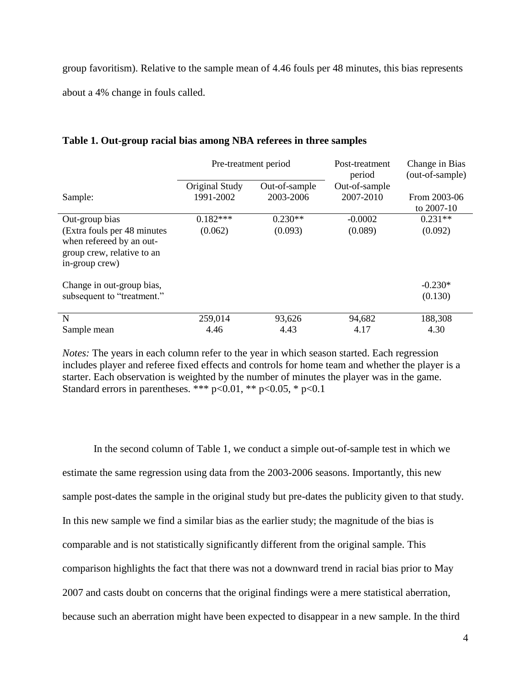group favoritism). Relative to the sample mean of 4.46 fouls per 48 minutes, this bias represents about a 4% change in fouls called.

|                                                                                                         | Pre-treatment period        |                            | Post-treatment<br>period   | Change in Bias<br>(out-of-sample) |
|---------------------------------------------------------------------------------------------------------|-----------------------------|----------------------------|----------------------------|-----------------------------------|
| Sample:                                                                                                 | Original Study<br>1991-2002 | Out-of-sample<br>2003-2006 | Out-of-sample<br>2007-2010 | From 2003-06                      |
|                                                                                                         |                             |                            |                            | to $2007-10$                      |
| Out-group bias                                                                                          | $0.182***$                  | $0.230**$                  | $-0.0002$                  | $0.231**$                         |
| (Extra fouls per 48 minutes<br>when refereed by an out-<br>group crew, relative to an<br>in-group crew) | (0.062)                     | (0.093)                    | (0.089)                    | (0.092)                           |
| Change in out-group bias,<br>subsequent to "treatment."                                                 |                             |                            |                            | $-0.230*$<br>(0.130)              |
| N                                                                                                       | 259,014                     | 93,626                     | 94,682                     | 188,308                           |
| Sample mean                                                                                             | 4.46                        | 4.43                       | 4.17                       | 4.30                              |

#### **Table 1. Out-group racial bias among NBA referees in three samples**

*Notes:* The years in each column refer to the year in which season started. Each regression includes player and referee fixed effects and controls for home team and whether the player is a starter. Each observation is weighted by the number of minutes the player was in the game. Standard errors in parentheses. \*\*\*  $p<0.01$ , \*\*  $p<0.05$ , \*  $p<0.1$ 

In the second column of Table 1, we conduct a simple out-of-sample test in which we estimate the same regression using data from the 2003-2006 seasons. Importantly, this new sample post-dates the sample in the original study but pre-dates the publicity given to that study. In this new sample we find a similar bias as the earlier study; the magnitude of the bias is comparable and is not statistically significantly different from the original sample. This comparison highlights the fact that there was not a downward trend in racial bias prior to May 2007 and casts doubt on concerns that the original findings were a mere statistical aberration, because such an aberration might have been expected to disappear in a new sample. In the third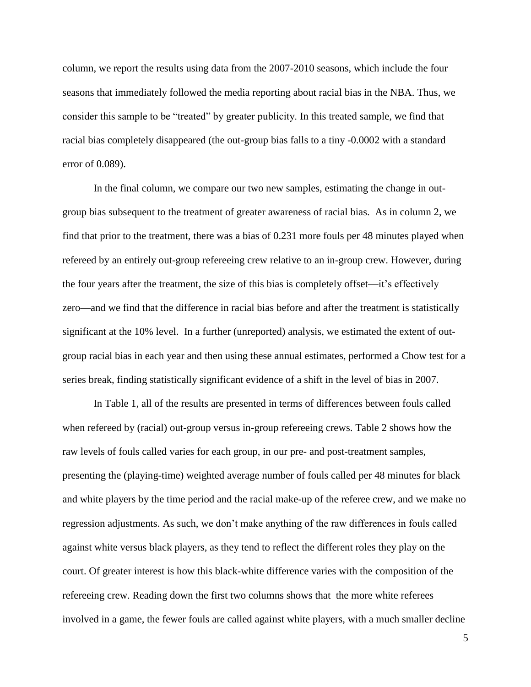column, we report the results using data from the 2007-2010 seasons, which include the four seasons that immediately followed the media reporting about racial bias in the NBA. Thus, we consider this sample to be "treated" by greater publicity. In this treated sample, we find that racial bias completely disappeared (the out-group bias falls to a tiny -0.0002 with a standard error of 0.089).

In the final column, we compare our two new samples, estimating the change in outgroup bias subsequent to the treatment of greater awareness of racial bias. As in column 2, we find that prior to the treatment, there was a bias of 0.231 more fouls per 48 minutes played when refereed by an entirely out-group refereeing crew relative to an in-group crew. However, during the four years after the treatment, the size of this bias is completely offset—it's effectively zero—and we find that the difference in racial bias before and after the treatment is statistically significant at the 10% level. In a further (unreported) analysis, we estimated the extent of outgroup racial bias in each year and then using these annual estimates, performed a Chow test for a series break, finding statistically significant evidence of a shift in the level of bias in 2007.

In Table 1, all of the results are presented in terms of differences between fouls called when refereed by (racial) out-group versus in-group refereeing crews. Table 2 shows how the raw levels of fouls called varies for each group, in our pre- and post-treatment samples, presenting the (playing-time) weighted average number of fouls called per 48 minutes for black and white players by the time period and the racial make-up of the referee crew, and we make no regression adjustments. As such, we don't make anything of the raw differences in fouls called against white versus black players, as they tend to reflect the different roles they play on the court. Of greater interest is how this black-white difference varies with the composition of the refereeing crew. Reading down the first two columns shows that the more white referees involved in a game, the fewer fouls are called against white players, with a much smaller decline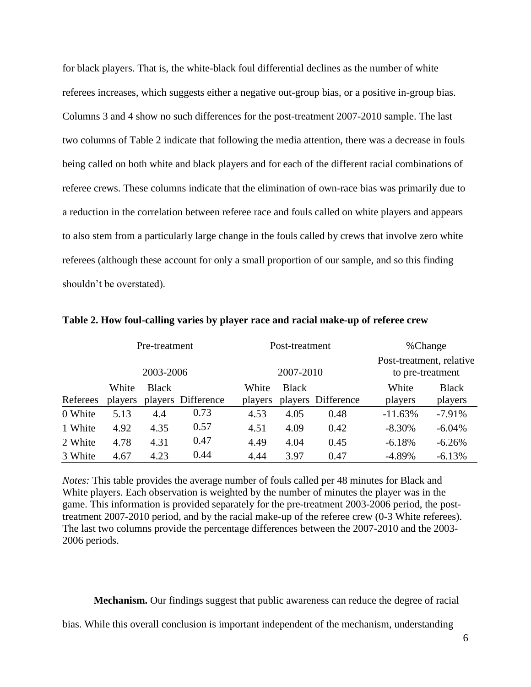for black players. That is, the white-black foul differential declines as the number of white referees increases, which suggests either a negative out-group bias, or a positive in-group bias. Columns 3 and 4 show no such differences for the post-treatment 2007-2010 sample. The last two columns of Table 2 indicate that following the media attention, there was a decrease in fouls being called on both white and black players and for each of the different racial combinations of referee crews. These columns indicate that the elimination of own-race bias was primarily due to a reduction in the correlation between referee race and fouls called on white players and appears to also stem from a particularly large change in the fouls called by crews that involve zero white referees (although these account for only a small proportion of our sample, and so this finding shouldn't be overstated).

|          | Pre-treatment |              |                    | Post-treatment |              |                    | %Change                                      |              |
|----------|---------------|--------------|--------------------|----------------|--------------|--------------------|----------------------------------------------|--------------|
|          | 2003-2006     |              |                    | 2007-2010      |              |                    | Post-treatment, relative<br>to pre-treatment |              |
|          | White         | <b>Black</b> |                    | White          | <b>Black</b> |                    | White                                        | <b>Black</b> |
| Referees | players       |              | players Difference | players        |              | players Difference | players                                      | players      |
| 0 White  | 5.13          | 4.4          | 0.73               | 4.53           | 4.05         | 0.48               | $-11.63%$                                    | $-7.91%$     |
| 1 White  | 4.92          | 4.35         | 0.57               | 4.51           | 4.09         | 0.42               | $-8.30\%$                                    | $-6.04\%$    |
| 2 White  | 4.78          | 4.31         | 0.47               | 4.49           | 4.04         | 0.45               | $-6.18%$                                     | $-6.26%$     |
| 3 White  | 4.67          | 4.23         | 0.44               | 4.44           | 3.97         | 0.47               | $-4.89%$                                     | $-6.13%$     |

**Table 2. How foul-calling varies by player race and racial make-up of referee crew**

*Notes:* This table provides the average number of fouls called per 48 minutes for Black and White players. Each observation is weighted by the number of minutes the player was in the game. This information is provided separately for the pre-treatment 2003-2006 period, the posttreatment 2007-2010 period, and by the racial make-up of the referee crew (0-3 White referees). The last two columns provide the percentage differences between the 2007-2010 and the 2003- 2006 periods.

**Mechanism.** Our findings suggest that public awareness can reduce the degree of racial

bias. While this overall conclusion is important independent of the mechanism, understanding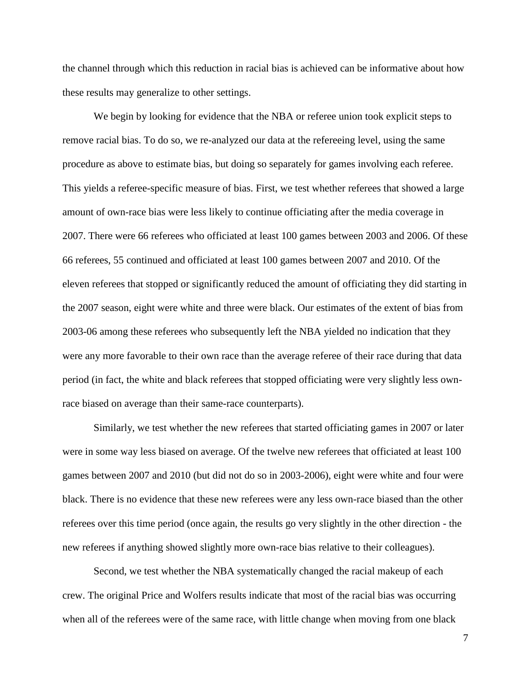the channel through which this reduction in racial bias is achieved can be informative about how these results may generalize to other settings.

We begin by looking for evidence that the NBA or referee union took explicit steps to remove racial bias. To do so, we re-analyzed our data at the refereeing level, using the same procedure as above to estimate bias, but doing so separately for games involving each referee. This yields a referee-specific measure of bias. First, we test whether referees that showed a large amount of own-race bias were less likely to continue officiating after the media coverage in 2007. There were 66 referees who officiated at least 100 games between 2003 and 2006. Of these 66 referees, 55 continued and officiated at least 100 games between 2007 and 2010. Of the eleven referees that stopped or significantly reduced the amount of officiating they did starting in the 2007 season, eight were white and three were black. Our estimates of the extent of bias from 2003-06 among these referees who subsequently left the NBA yielded no indication that they were any more favorable to their own race than the average referee of their race during that data period (in fact, the white and black referees that stopped officiating were very slightly less ownrace biased on average than their same-race counterparts).

Similarly, we test whether the new referees that started officiating games in 2007 or later were in some way less biased on average. Of the twelve new referees that officiated at least 100 games between 2007 and 2010 (but did not do so in 2003-2006), eight were white and four were black. There is no evidence that these new referees were any less own-race biased than the other referees over this time period (once again, the results go very slightly in the other direction - the new referees if anything showed slightly more own-race bias relative to their colleagues).

Second, we test whether the NBA systematically changed the racial makeup of each crew. The original Price and Wolfers results indicate that most of the racial bias was occurring when all of the referees were of the same race, with little change when moving from one black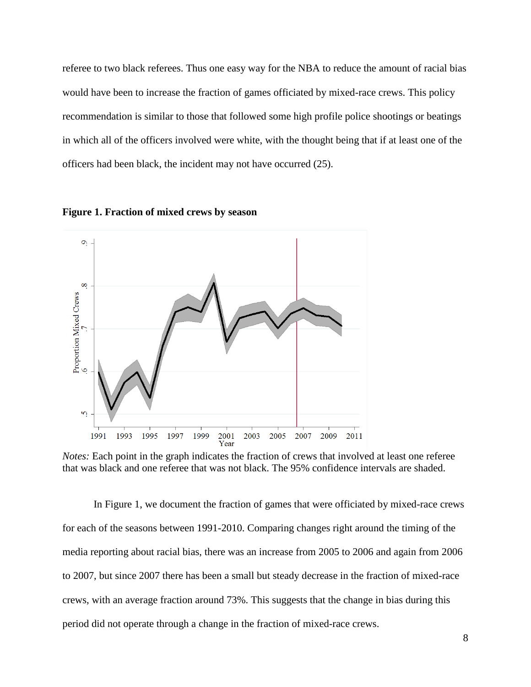referee to two black referees. Thus one easy way for the NBA to reduce the amount of racial bias would have been to increase the fraction of games officiated by mixed-race crews. This policy recommendation is similar to those that followed some high profile police shootings or beatings in which all of the officers involved were white, with the thought being that if at least one of the officers had been black, the incident may not have occurred (25).





*Notes:* Each point in the graph indicates the fraction of crews that involved at least one referee that was black and one referee that was not black. The 95% confidence intervals are shaded.

In Figure 1, we document the fraction of games that were officiated by mixed-race crews for each of the seasons between 1991-2010. Comparing changes right around the timing of the media reporting about racial bias, there was an increase from 2005 to 2006 and again from 2006 to 2007, but since 2007 there has been a small but steady decrease in the fraction of mixed-race crews, with an average fraction around 73%. This suggests that the change in bias during this period did not operate through a change in the fraction of mixed-race crews.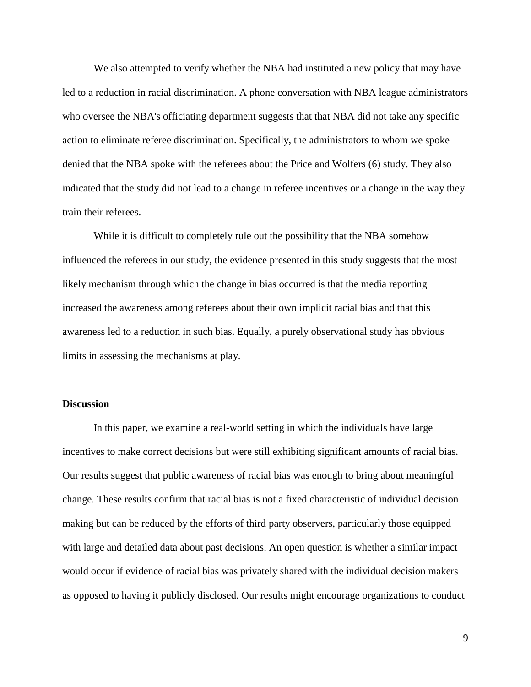We also attempted to verify whether the NBA had instituted a new policy that may have led to a reduction in racial discrimination. A phone conversation with NBA league administrators who oversee the NBA's officiating department suggests that that NBA did not take any specific action to eliminate referee discrimination. Specifically, the administrators to whom we spoke denied that the NBA spoke with the referees about the Price and Wolfers (6) study. They also indicated that the study did not lead to a change in referee incentives or a change in the way they train their referees.

While it is difficult to completely rule out the possibility that the NBA somehow influenced the referees in our study, the evidence presented in this study suggests that the most likely mechanism through which the change in bias occurred is that the media reporting increased the awareness among referees about their own implicit racial bias and that this awareness led to a reduction in such bias. Equally, a purely observational study has obvious limits in assessing the mechanisms at play.

#### **Discussion**

In this paper, we examine a real-world setting in which the individuals have large incentives to make correct decisions but were still exhibiting significant amounts of racial bias. Our results suggest that public awareness of racial bias was enough to bring about meaningful change. These results confirm that racial bias is not a fixed characteristic of individual decision making but can be reduced by the efforts of third party observers, particularly those equipped with large and detailed data about past decisions. An open question is whether a similar impact would occur if evidence of racial bias was privately shared with the individual decision makers as opposed to having it publicly disclosed. Our results might encourage organizations to conduct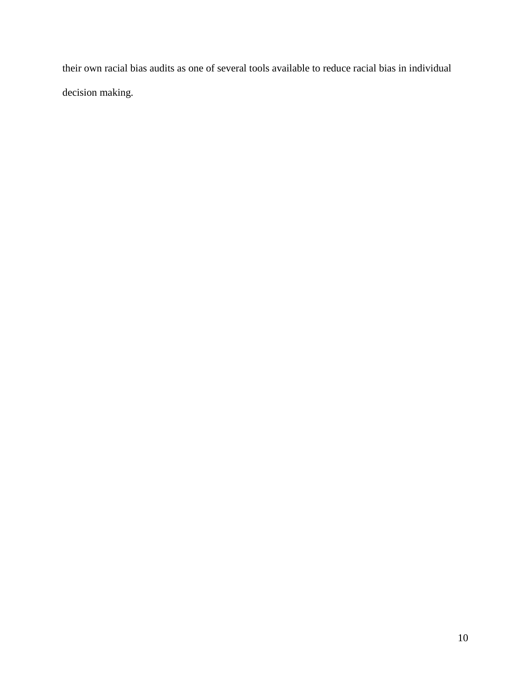their own racial bias audits as one of several tools available to reduce racial bias in individual decision making.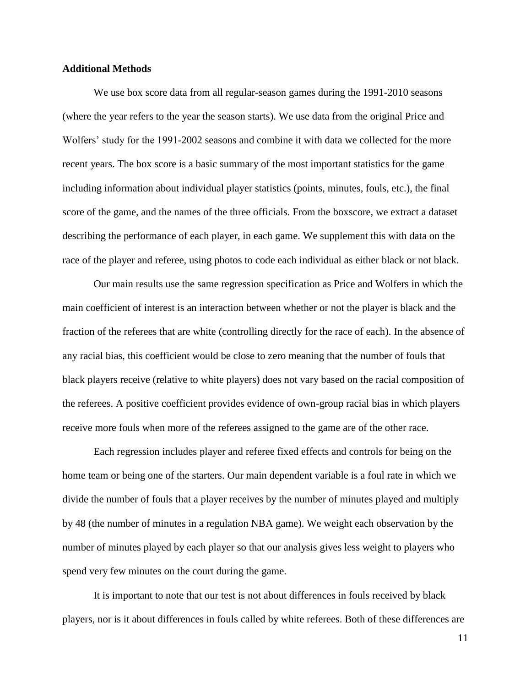#### **Additional Methods**

We use box score data from all regular-season games during the 1991-2010 seasons (where the year refers to the year the season starts). We use data from the original Price and Wolfers' study for the 1991-2002 seasons and combine it with data we collected for the more recent years. The box score is a basic summary of the most important statistics for the game including information about individual player statistics (points, minutes, fouls, etc.), the final score of the game, and the names of the three officials. From the boxscore, we extract a dataset describing the performance of each player, in each game. We supplement this with data on the race of the player and referee, using photos to code each individual as either black or not black.

Our main results use the same regression specification as Price and Wolfers in which the main coefficient of interest is an interaction between whether or not the player is black and the fraction of the referees that are white (controlling directly for the race of each). In the absence of any racial bias, this coefficient would be close to zero meaning that the number of fouls that black players receive (relative to white players) does not vary based on the racial composition of the referees. A positive coefficient provides evidence of own-group racial bias in which players receive more fouls when more of the referees assigned to the game are of the other race.

Each regression includes player and referee fixed effects and controls for being on the home team or being one of the starters. Our main dependent variable is a foul rate in which we divide the number of fouls that a player receives by the number of minutes played and multiply by 48 (the number of minutes in a regulation NBA game). We weight each observation by the number of minutes played by each player so that our analysis gives less weight to players who spend very few minutes on the court during the game.

It is important to note that our test is not about differences in fouls received by black players, nor is it about differences in fouls called by white referees. Both of these differences are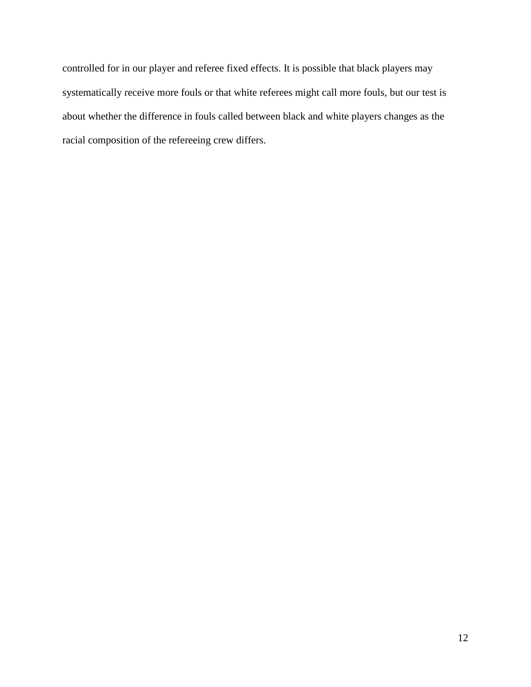controlled for in our player and referee fixed effects. It is possible that black players may systematically receive more fouls or that white referees might call more fouls, but our test is about whether the difference in fouls called between black and white players changes as the racial composition of the refereeing crew differs.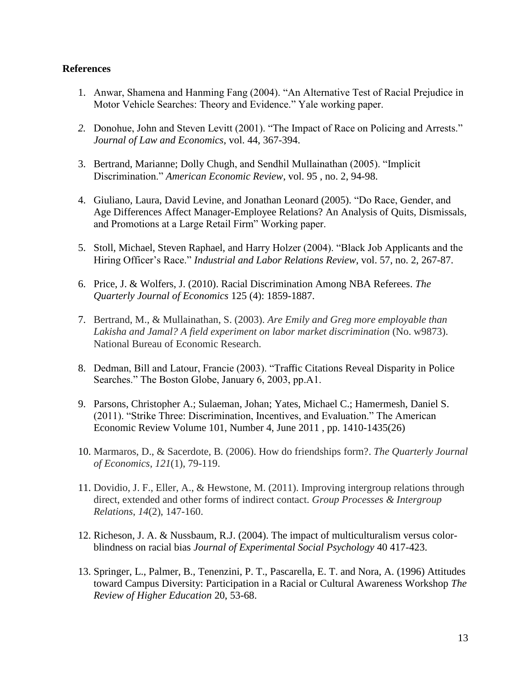#### **References**

- 1. Anwar, Shamena and Hanming Fang (2004). "An Alternative Test of Racial Prejudice in Motor Vehicle Searches: Theory and Evidence." Yale working paper.
- *2.* Donohue, John and Steven Levitt (2001). "The Impact of Race on Policing and Arrests." *Journal of Law and Economics*, vol. 44, 367-394.
- 3. Bertrand, Marianne; Dolly Chugh, and Sendhil Mullainathan (2005). "Implicit Discrimination." *American Economic Review*, vol. 95 , no. 2, 94-98.
- 4. Giuliano, Laura, David Levine, and Jonathan Leonard (2005). "Do Race, Gender, and Age Differences Affect Manager-Employee Relations? An Analysis of Quits, Dismissals, and Promotions at a Large Retail Firm" Working paper.
- 5. Stoll, Michael, Steven Raphael, and Harry Holzer (2004). "Black Job Applicants and the Hiring Officer's Race." *Industrial and Labor Relations Review*, vol. 57, no. 2, 267-87.
- 6. Price, J. & Wolfers, J. (2010). Racial Discrimination Among NBA Referees. *The Quarterly Journal of Economics* 125 (4): 1859-1887.
- 7. Bertrand, M., & Mullainathan, S. (2003). *Are Emily and Greg more employable than Lakisha and Jamal? A field experiment on labor market discrimination* (No. w9873). National Bureau of Economic Research.
- 8. Dedman, Bill and Latour, Francie (2003). "Traffic Citations Reveal Disparity in Police Searches." The Boston Globe, January 6, 2003, pp.A1.
- 9. Parsons, Christopher A.; Sulaeman, Johan; Yates, Michael C.; Hamermesh, Daniel S. (2011). "Strike Three: Discrimination, Incentives, and Evaluation." The American Economic Review Volume 101, Number 4, June 2011 , pp. 1410-1435(26)
- 10. Marmaros, D., & Sacerdote, B. (2006). How do friendships form?. *The Quarterly Journal of Economics*, *121*(1), 79-119.
- 11. Dovidio, J. F., Eller, A., & Hewstone, M. (2011). Improving intergroup relations through direct, extended and other forms of indirect contact. *Group Processes & Intergroup Relations*, *14*(2), 147-160.
- 12. Richeson, J. A. & Nussbaum, R.J. (2004). The impact of multiculturalism versus colorblindness on racial bias *Journal of Experimental Social Psychology* 40 417-423.
- 13. Springer, L., Palmer, B., Tenenzini, P. T., Pascarella, E. T. and Nora, A. (1996) Attitudes toward Campus Diversity: Participation in a Racial or Cultural Awareness Workshop *The Review of Higher Education* 20, 53-68.